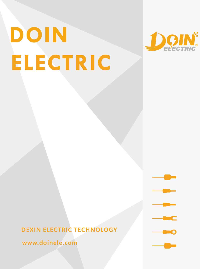## DOIN ELECTRIC



**DEXIN ELECTRIC TECHNOLOGY** 

www.doinele.com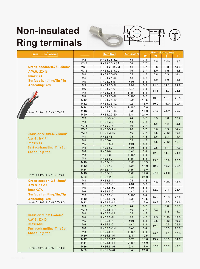## Non-insulated







|                                         |                                  |                         |            |            | H٠   |                | Ħ.   |
|-----------------------------------------|----------------------------------|-------------------------|------------|------------|------|----------------|------|
| <b>Ring terminals</b>                   |                                  |                         |            |            |      |                |      |
|                                         |                                  |                         |            |            |      |                |      |
| <b>Avai</b><br>ple range                |                                  | Item No.                | An sricam  |            |      | Imensions (mm) |      |
|                                         |                                  |                         |            | d2         | W    | F              | L    |
|                                         | M <sub>3</sub>                   | RNB1.25-3.2             | #4<br>#6   | 3.2        | 5.5  | 5.00           | 12.5 |
| Cross-section: 0.75-1.5mm <sup>2</sup>  | M3.5                             | RNB1.25-3.7S            | #6         | 3.7        |      |                |      |
|                                         | M3.5                             | RNB1.25-3.7M            |            | 3.7        | 6.6  | 6.3            | 14.4 |
| A.W.G.: 22~16                           | M3.5                             | RNB1.25-3.7L            | #6         | 3.7        | 8.0  | 7.0            | 15.8 |
| $Imax=19A$                              | M <sub>4</sub>                   | RNB1.25-4S              | #8         | 4.3        | 6.6  | 6.3            | 14.4 |
| Surface handling: Tin / 3µ              | M4                               | RNB1.25-4L              | #8         | 4.3        | 8.0  | 7.0            | 15.8 |
| <b>Annealing: Yes</b>                   | M <sub>5</sub><br>M <sub>5</sub> | RNB1.25-5               | #10<br>#10 | 5.3<br>5.3 | 11.6 | 11.0           | 21.8 |
|                                         | M <sub>6</sub>                   | RNB1.25-5L<br>RNB1.25-6 | 1/4"       | 6.4        |      |                |      |
|                                         | M8                               | RNB1.25-8               | 5/16"      | 8.4        | 11.6 | 11.0           | 21.8 |
|                                         | M8                               | RNB1.25-8L              | 5/16"      | 8.5        |      |                |      |
|                                         | M10                              | RNB1.25-10              | 3/8"       | 10.5       | 13.6 | 13.9           | 25.5 |
|                                         | M12                              | RNB1.25-12              | 1/2"       | 13.0       | 19.2 | 16.0           | 30.4 |
|                                         | M14                              | RNB1.25-14              | 9/16"      | 15.0       |      |                |      |
|                                         | M16                              | RNB1.25-16              | 5/8"       | 17.0       | 27.0 | 21.0           | 39.3 |
| $H=4.8$ d1=1.7 D=3.4 T=0.8              | M20                              | RNB1.25-20              | 3/4"       | 21.0       |      |                |      |
|                                         | M <sub>3</sub>                   | RNB2-3.2S               | #4         | 3.2        | 5.5  | 5.6            | 13.2 |
|                                         | M <sub>3</sub>                   | RNB2-3.2                | #4         | 3.2        |      |                |      |
|                                         | M3.5                             | RNB2-3.7                | #6         | 3.7        | 6.6  | 4.8            | 12.8 |
|                                         | M3.5                             | RNB2-3.7M               | #6         | 3.7        | 6.6  | 6.3            | 14.4 |
|                                         | M3.5                             | <b>RNB2-3.7L</b>        | #6         | 3.7        | 8.5  | 7.40           | 16.5 |
| Cross-section:1.5-2.5mm <sup>2</sup>    | M <sub>4</sub>                   | <b>RNB2-4S</b>          | #8         | 4.3        | 6.6  | 6.3            |      |
| $A.W.G.:16-14$                          | M <sub>4</sub>                   | RNB2-4L                 | #8         | 4.3        |      |                | 14.4 |
| $Imax=27A$                              | M <sub>5</sub>                   | <b>RNB2-5S</b>          | #10        | 5.3        | 8.5  | 7.40           | 16.5 |
| Surface handling: Tin/3µ                | M <sub>5</sub>                   | RNB2-5L                 | #10        | 5.3        | 9.5  | 7.4            | 17.0 |
|                                         | M <sub>6</sub>                   | <b>RNB2-6</b>           | 1/4"       | 6.4        |      |                |      |
| <b>Annealing: Yes</b>                   | M8                               | <b>RNB2-8</b>           | 5/16"      | 8.4        | 12.0 | 11.0           | 21.8 |
|                                         | M8                               | RNB2-8L                 | 5/16"      | 8.5        |      |                |      |
|                                         | M10                              | <b>RNB2-10</b>          | 3/8"       | 10.5       | 13.6 | 13.9           | 25.5 |
|                                         | M12                              | <b>RNB2-12</b>          | 1/2"       | 13.0       | 19.2 | 16.0           | 30.4 |
|                                         | M14                              | <b>RNB2-14</b>          | 9/16"      | 15.0       |      |                |      |
|                                         | M16                              | <b>RNB2-16</b>          | 5/8"       | 17.0       | 27.0 | 21.0           | 39.3 |
| $H=4.8 d1=2.3 D=4.0 T=0.8$              | M20                              | <b>RNB2-20</b>          | 3/4"       | 21.0       |      |                |      |
| Cross-section: 2.5-6mm <sup>2</sup>     | M <sub>4</sub>                   | RNB3.5-4                | #8         | 4.3        |      |                |      |
|                                         | M <sub>5</sub>                   | RNB3.5-5S               | #10        | 5.3        | 8.0  | 8.00           | 18.0 |
| A.W.G.: 14-12                           | M <sub>5</sub>                   | RNB3.5-5L               | #10        | 5.3        |      |                |      |
| $Imax=37A$                              | M6                               | RNB3.5-6                | 1/4"       | 6.4        | 12.0 | 9.4            | 21.4 |
| Surface handling: Tin/3µ                | M <sub>8</sub>                   | RNB3.5-8                | 5/16"      | 8.4        |      |                |      |
| <b>Annealing: Yes</b>                   | M10                              | RNB3.5-10               | 3/8"       | 10.5       | 15.0 | 13.3           | 27.0 |
| $H=6.0 d1=2.9 D=5.0 T=1.0$              | M12                              | RNB3.5-12               | 1/2"       | 13.0       | 19.2 | 16.0           | 31.6 |
|                                         | M <sub>3</sub>                   | RNB5.5-3.2              | #4         | 3.2        |      | 5.8            | 15.5 |
|                                         | M3.5                             | RNB5.5-3.7              | #6         | 3.7        | 7.2  |                |      |
|                                         | M <sub>4</sub>                   | <b>RNB5.5-4S</b>        | #8         | 4.3        |      | 6.1            | 15.7 |
| <b>Cross-section: 6-6mm<sup>2</sup></b> | M <sub>4</sub>                   | RNB5.5-4L               | #8         | 4.3        | 9.5  | 8.30           | 19.0 |
| A.W.G.: 12~10                           | M <sub>5</sub>                   | RNB5.5-5                | #10        | 5.3        | 9.5  | 8.30           | 19.0 |
| $Imax = 68A$                            | M <sub>6</sub>                   | RNB5.5-6                | 1/4"       | 6.4        |      | 10.5           | 22.5 |
| Surface handling: Tin / 3µ              | M <sub>6</sub>                   | RNB5.5-6M               | 1/4"       | 6.4        | 12.0 | 13.0           | 25.0 |
|                                         | M8                               | RNB5.5-8                | 5/16"      | 8.4        |      |                |      |
| <b>Annealing: Yes</b>                   | M <sub>10</sub>                  | RNB5.5-10               | 3/8"       | 10.5       | 15.0 | 13.3           | 27.0 |
|                                         | M12                              | RNB5.5-12               | 1/2"       | 13.0       | 19.2 | 16.0           | 31.6 |
|                                         | M14                              | RNB5.5-14               | 9/16"      | 15.0       |      |                |      |
|                                         | M16                              | RNB5.5-16               | 5/8"       | 17.0       | 32.0 | 25.2           | 47.2 |
| $H=6.0 d1=3.4 D=5.5 T=1.0$              | M20                              | RNB5.5-20               | 3/4"       | 21.0       |      |                |      |
|                                         |                                  |                         |            |            |      |                |      |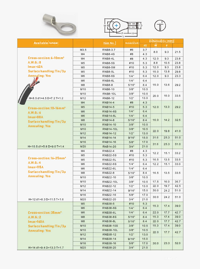





| <b>Available rangel</b>             |                 | Item No.         | <b>American</b> | <b>Dimensions (mm)</b> |      |      |      |
|-------------------------------------|-----------------|------------------|-----------------|------------------------|------|------|------|
|                                     |                 |                  |                 | d2                     | W    | F    |      |
|                                     | M3.5            | RNB8-3.7         | #6              | 3.7                    | 8.0  | 9.3  | 21.5 |
|                                     | M <sub>4</sub>  | <b>RNB8-4S</b>   | #8              | 4.3                    |      |      |      |
| Cross-section: 6-10mm <sup>2</sup>  | M <sub>4</sub>  | RNB8-4L          | #8              | 4.3                    | 12.0 | 9.3  | 23.8 |
| A.W.G.: 8                           | M <sub>5</sub>  | <b>RNB8-5S</b>   | #10             | 5.3                    | 8.8  | 10.5 | 23.8 |
| $Imax=62A$                          | M <sub>5</sub>  | RNB8-5M          | #10             | 5.3                    | 12.0 | 9.3  | 23.8 |
| Surface handling: $\text{Tim}/3\mu$ | M <sub>5</sub>  | <b>RNB8-5L</b>   | #10             | 5.3                    | 15.0 | 13.8 | 29.8 |
| <b>Annealing: Yes</b>               | M <sub>6</sub>  | <b>RNB8-6S</b>   | 1/4"            | 6.4                    | 12.0 | 9.3  | 23.3 |
|                                     | M <sub>6</sub>  | RNB8-6L          | 1/4"            | 6.4                    |      |      |      |
|                                     | M8              | <b>RNB8-8</b>    | 5/16"           | 8.4                    | 15.0 | 13.6 | 29.2 |
|                                     | M <sub>10</sub> | <b>RNB8-10</b>   | 3/8"            | 10.5                   |      |      |      |
|                                     | M <sub>10</sub> | <b>RNB8-10L</b>  | 3/8"            | 10.5                   | 20.0 | 15.0 | 33.5 |
| $H=8.5 d1=4.5 D=7.2 T=1.2$          | M <sub>12</sub> | <b>RNB8-12</b>   | 1/2"            | 13.0                   |      |      |      |
|                                     | M <sub>4</sub>  | <b>RNB14-4</b>   | #8              | 4.3                    |      |      |      |
| Cross-section: 10-16mm <sup>2</sup> | M <sub>5</sub>  | <b>RNB14-5</b>   | #10             | 5.3                    | 12.0 | 13.3 | 29.2 |
| A.W.G.:6                            | M6              | <b>RNB14-6S</b>  | 1/4"            | 6.4                    |      |      |      |
| $Imax=88A$                          | M6              | <b>RNB14-6L</b>  | 1/4"            | 6.4                    |      | 14.2 | 32.5 |
| Surface handling: Tin/3µ            | M8              | <b>RNB14-8</b>   | 5/16"           | 8.4                    | 16.0 |      |      |
| <b>Annealing: Yes</b>               | M <sub>10</sub> | RNB14-10         | 3/8"            | 10.5                   |      |      |      |
|                                     | M <sub>10</sub> | <b>RNB14-10L</b> | 3/8"            | 10.5                   | 22.0 | 19.8 | 41.0 |
|                                     | M <sub>12</sub> | RNB14-12         | 1/2"            | 13.0                   |      |      |      |
|                                     | M14             | <b>RNB14-14</b>  | 9/16"           | 15.0                   | 31.6 | 25.3 | 51.0 |
|                                     | M <sub>16</sub> | <b>RNB14-16</b>  | 5/8"            | 17.0                   | 31.6 | 25.3 | 51.0 |
| $H = 10.5 d1 = 5.8 D = 9.0 T = 1.4$ | M20             | <b>RNB14-20</b>  | 3/4"            | 21.0                   |      |      |      |
|                                     | M <sub>4</sub>  | <b>RNB22-4</b>   | #8              | 4.3                    | 12.2 | 15.1 | 33.2 |
|                                     | M <sub>5</sub>  | <b>RNB22-5S</b>  | #10             | 5.3                    |      |      |      |
| Cross-section: 16-25mm <sup>2</sup> | M <sub>5</sub>  | <b>RNB22-5L</b>  | #10             | 5.3                    | 16.5 | 13.5 | 33.5 |
| A.W.G.: 4                           | M <sub>6</sub>  | <b>RNB22-6S</b>  | 1/4"            | 6.4                    | 12.2 | 15.1 | 33.0 |
| $Imax=115A$                         | M <sub>6</sub>  | <b>RNB22-6L</b>  | 1/4"            | 6.4                    |      | 13.5 | 33.5 |
| Surface handling: Tin/3µ            | M8              | <b>RNB22-8</b>   | 5/16"           | 8.4                    | 16.5 |      |      |
| <b>Annealing: Yes</b>               | M10             | RNB22-10         | 3/8"            | 10.5                   |      |      |      |
|                                     | M10             | RNB22-10L        | 3/8"            | 10.5                   | 17.5 | 16.0 | 36.7 |
|                                     | M12             | RNB22-12         | 1/2"            | 13.0                   | 22.0 | 19.7 | 42.5 |
|                                     | M14             | RNB22-14         | 9/16"           | 15.0                   | 30.0 | 24.2 | 51.0 |
|                                     | M16             | RNB22-16         | 5/8"            | 17.0                   | 30.0 | 24.2 | 51.0 |
| $H = 12 d1 = 8.3 D = 11.5 T = 1.6$  | M20             | RNB22-20         | 3/4"            | 21.0                   |      |      |      |
|                                     | M <sub>5</sub>  | <b>RNB38-5</b>   | #10             | 5.3                    | 15.3 | 17.4 | 39.0 |
|                                     | M <sub>6</sub>  | <b>RNB38-6S</b>  | 1/4"            | 6.4                    |      |      |      |
| Cross-section: 35mm <sup>2</sup>    | M <sub>6</sub>  | <b>RNB38-6L</b>  | 1/4"            | 6.4                    | 22.0 | 17.7 | 42.7 |
| A.W.G.:2                            | M8              | <b>RNB38-8S</b>  | 5/16"           | 8.4                    | 15.3 | 17.4 | 39.0 |
| $Imax=160A$                         | M8              | <b>RNB38-8L</b>  | 5/16"           | 8.4                    | 22.0 | 17.7 | 42.7 |
| Surface handling: Tin / 3µ          | M10             | <b>RNB38-10S</b> | 3/8"            | 10.5                   | 15.3 | 17.4 | 39.0 |
| <b>Annealing: Yes</b>               | M10             | <b>RNB38-10L</b> | 3/8"            | 10.5                   | 22.0 | 17.7 | 42.7 |
|                                     | M12             | RNB38-12         | 1/2"            | 13.0                   |      |      |      |
|                                     | M14             | RNB38-14         | 9/16"           | 15.0                   |      |      |      |
|                                     | M16             | RNB38-16         | 5/8"            | 17.0                   | 30.0 | 23.3 | 52.0 |
| $H = 14 d1 = 9.4 D = 13.3 T = 1.7$  | M20             | RNB38-20         | 3/4"            | 21.0                   |      |      |      |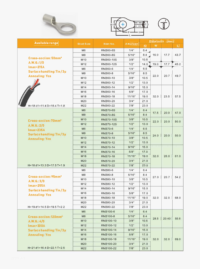





| <b>Available range</b>                                  |                  |                  |          | Dimension (mm) |      |       |        |  |
|---------------------------------------------------------|------------------|------------------|----------|----------------|------|-------|--------|--|
|                                                         | <b>Stud Size</b> | Item No.         | American | d2             | W    |       | $\Box$ |  |
|                                                         | M6               | <b>RNB60-6S</b>  | 1/4"     | 6.4            |      |       |        |  |
|                                                         | M8               | <b>RNB60-8S</b>  | 5/16"    | 8.4            | 16.0 | 17.7  | 43.7   |  |
| <b>Cross-section: 50mm<sup>2</sup></b>                  | M10              | <b>RNB60-10S</b> | 3/8"     | 10.5           |      |       |        |  |
| A.W.G.:1/0<br>$Imax = 215A$<br>Surface handling: Tin/3µ | M12              | RNB60-12S        | 1/2"     | 14.0           | 19.0 | 17.7  | 45.2   |  |
|                                                         | M6               | <b>RNB60-6</b>   | 1/4"     | 6.5            |      |       |        |  |
|                                                         | M <sub>8</sub>   | <b>RNB60-8</b>   | 5/16"    | 8.5            |      |       |        |  |
| <b>Annealing: Yes</b>                                   | M10              | RNB60-10         | 3/8"     | 10.5           | 22.0 | 20.7  | 49.7   |  |
|                                                         | M12              | RNB60-12         | 1/2"     | 13.0           |      |       |        |  |
|                                                         | M14              | RNB60-14         | 9/16"    | 15.0           |      |       |        |  |
|                                                         | M16              | RNB60-16         | 5/8"     | 17.0           |      |       |        |  |
|                                                         | M18              | RNB60-18         | 11/16"   | 19.0           | 32.0 | 23.5  | 57.5   |  |
|                                                         | M20              | RNB60-20         | 3/4"     | 21.0           |      |       |        |  |
| $H = 18 d1 = 11.4 D = 15.4 T = 1.8$                     | M22              | RNB60-22         | 7/8"     | 23.0           |      |       |        |  |
|                                                         | M <sub>6</sub>   | <b>RNB70-6S</b>  | 1/4"     | 6.4            |      |       |        |  |
|                                                         | M8               | <b>RNB70-8S</b>  | 5/16"    | 8.4            | 17.5 | 20.0  | 47.0   |  |
| Cross-section: 70mm <sup>2</sup>                        | M10              | <b>RNB70-10S</b> | 3/8"     | 10.5           |      |       |        |  |
| A.W.G.: 2/0                                             | M12              | <b>RNB70-12S</b> | 1/2"     | 13.0           | 22.0 | 20.0  | 50.0   |  |
| $Imax = 235A$                                           | M <sub>6</sub>   | <b>RNB70-6</b>   | 1/4"     | 6.5            |      |       |        |  |
| Surface handling: Tin/3µ                                | M8               | <b>RNB70-8</b>   | 5/16"    | 8.5            | 24.0 | 20.0  | 50.0   |  |
| <b>Annealing: Yes</b>                                   | M10              | <b>RNB70-10</b>  | 3/8"     | 10.5           |      |       |        |  |
|                                                         | M <sub>12</sub>  | <b>RNB70-12</b>  | 1/2"     | 13.0           |      |       |        |  |
|                                                         | M14              | <b>RNB70-14</b>  | 9/16"    | 15.0           |      |       |        |  |
|                                                         | M16              | <b>RNB70-16</b>  | 5/8"     | 17.0           |      |       |        |  |
|                                                         | M18              | <b>RNB70-18</b>  | 11/16"   | 19.0           | 32.0 | 26.0  | 61.0   |  |
|                                                         | M20              | RNB70-20         | 3/4"     | 21.0           |      |       |        |  |
| $H = 18 d1 = 13.3 D = 17.5 T = 1.9$                     | M22              | RNB70-22         | 7/8"     | 23.0           |      |       |        |  |
|                                                         | M <sub>6</sub>   | <b>RNB80-6</b>   | 1/4"     | 6.4            | 27.0 | 20.7  | 54.2   |  |
| Cross-section: 95mm <sup>2</sup>                        | M8               | <b>RNB80-8</b>   | 5/16"    | 8.4            |      |       |        |  |
| A.W.G.:3/0                                              | M10              | RNB80-10         | 3/8"     | 10.5           |      |       |        |  |
| $Imax = 255A$                                           | M12              | RNB80-12         | 1/2"     | 13.0           |      |       |        |  |
| Surface handling: Tin/3µ                                | M14              | RNB80-14         | 9/16"    | 15.0           |      | 32.0  | 68.0   |  |
| <b>Annealing: Yes</b>                                   | M16              | RNB80-16         | 5/8"     | 17.0           |      |       |        |  |
|                                                         | M18              | RNB80-18         | 11/16"   | 19.0           | 32.0 |       |        |  |
|                                                         | M20              | RNB80-20         | 3/4"     | 21.0           |      |       |        |  |
| $H = 19 d1 = 14.5 D = 19.5 T = 2.2$                     | M22              | RNB80-22         | 7/8"     | 23.0           |      |       |        |  |
|                                                         | M <sub>6</sub>   | RNB100-6         | 1/4"     | 6.4            | 28.5 | 20.40 | 55.6   |  |
| Cross-section: 120mm <sup>2</sup>                       | M8               | RNB100-8         | 5/16"    | 8.4            |      |       |        |  |
| A.W.G.: 6/0                                             | M10              | RNB100-10        | 3/8"     | 10.5           |      |       |        |  |
| $Imax=300A$                                             | M12              | RNB100-12        | 1/2"     | 13.0           |      |       |        |  |
| Surface handling: Tin/3µ                                | M14              | RNB100-14        | 9/16"    | 15.0           |      |       |        |  |
| <b>Annealing: Yes</b>                                   | M16              | RNB100-16        | 5/8"     | 17.0           |      |       |        |  |
|                                                         | M18              | RNB100-18        | 11/16"   | 19.0           | 32.0 | 32.0  | 69.0   |  |
|                                                         | M20              | RNB100-20        | 3/4"     | 21.0           |      |       |        |  |
| H=21 d1=16.4 D=22.1 T=2.5                               | M22              | RNB100-22        | 7/8"     | 23.0           |      |       |        |  |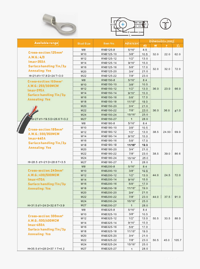





| Available range                     |                  |           |             | Dimensions (mm) |      |       |       |
|-------------------------------------|------------------|-----------|-------------|-----------------|------|-------|-------|
|                                     | <b>Stud Size</b> | Item No.  | American    | d2              | W    | F     | 飞     |
|                                     | M <sub>8</sub>   | RNB125-8  | 5/16"       | 8.5             |      |       |       |
| Cross-section: 125mm <sup>2</sup>   | M10              | RNB125-10 | 3/8"        | 10.5            | 32.0 | 22.0  | 62.0  |
| A.W.G.: 4/0                         | M12              | RNB125-12 | 1/2"        | 13.0            |      |       |       |
| $Imax = 350A$                       | M14              | RNB125-14 | 9/16"       | 15.0            |      |       |       |
| Surface handling: Tin/3µ            | M16              | RNB125-16 | 5/8"        | 17.0            | 32.0 | 32.0  | 72.0  |
| <b>Annealing: Yes</b>               | M20              | RNB125-20 | 3/4"        | 21.0            |      |       |       |
| H=21 d1=17.8 D=24 T=3.0             | M22              | RNB125-22 | 7/8"        | 23.0            |      |       |       |
| Cross-section: 150mm <sup>2</sup>   | M8               | RNB150-8  | 5/16"       | 8.4             |      |       |       |
| A.W.G.: 250/300MCM                  | M10              | RNB150-10 | 3/8"        | 10.5            |      |       |       |
| $Imax = 395A$                       | M12              | RNB150-12 | 1/2"        | 13.0            | 36.0 | 23.0  | 66.0  |
| Surface handling: Tin/3µ            | M14              | RNB150-14 | 9/16"       | 15.0            |      |       |       |
| <b>Annealing: Yes</b>               | M16              | RNB150-16 | 5/8"        | 17.0            |      |       |       |
|                                     | M18              | RNB150-18 | 11/16"      | 19.0            |      |       |       |
|                                     | M20              | RNB150-20 | 3/4"        | 21.0            |      |       |       |
|                                     | M22              | RNB150-22 | 7/8"        | 23.0            | 36.0 | 36.0  | 81.0  |
|                                     | M24              | RNB150-24 | 15/16"      | 25.0            |      |       |       |
| $H = 27 d1 = 19.5 D = 26.6 T = 3.2$ | M27              | RNB150-27 | $\mathbf 1$ | 28.0            |      |       |       |
|                                     | M <sub>8</sub>   | RNB180-8  | 5/16"       | 8.4             |      |       |       |
| Cross-section: 185mm <sup>2</sup>   | M10              | RNB180-10 | 3/8"        | 10.5            |      |       |       |
| A.W.G.: 300/350MCM                  | M12              | RNB180-12 | 1/2"        | 13.0            | 38.5 | 24.50 | 69.0  |
|                                     | M14              | RNB180-14 | 9/16"       | 15.0            |      |       |       |
| $Imax=440A$                         | M16              | RNB180-16 | 5/8"        | 17.0            |      |       |       |
| Surface handling: $\text{Tim}/3\mu$ | M18              | RNB180-18 | 11/16"      | 19.0            |      |       |       |
| <b>Annealing: Yes</b>               | M20              | RNB180-20 | 3/4"        | 21.0            |      |       |       |
|                                     | M22              | RNB180-22 | 7/8"        | 23.0            | 38.5 | 39.0  | 86.6  |
|                                     | M24              | RNB180-24 | 15/16"      | 25.0            |      |       |       |
| H=28.5 d1=21 D=28.6 T=3.5           | M27              | RNB180-27 | 1           | 28.0            |      |       |       |
|                                     | M8               | RNB200-8  | 5/16"       | 8.4             |      |       |       |
| Cross-section: 240mm <sup>2</sup>   | M10              | RNB200-10 | 3/8"        | 10.5            |      |       |       |
| A.W.G.: 400/500MCM                  | M12              | RNB200-12 | 1/2"        | 13.0            | 44.0 | 24.5  | 72.0  |
| $Imax=470A$                         | M14              | RNB200-14 | 9/16"       | 15.0            |      |       |       |
| <b>Surface handling: Tin/3µ</b>     | M16              | RNB200-16 | 5/8"        | 17.0            |      |       |       |
| <b>Annealing: Yes</b>               | M18              | RNB200-18 | 11/16"      | 19.0            |      |       |       |
|                                     | M20              | RNB200-20 | 3/4"        | 21.0            |      |       |       |
|                                     | M22              | RNB200-22 | 7/8"        | 23.0            | 44.0 | 37.5  | 91.0  |
|                                     | M24              | RNB200-24 | 15/16"      | 25.0            |      |       |       |
| $H = 31.5 d1 = 24 D = 32.6 T = 3.9$ | M27              | RNB200-27 | $\mathbf 1$ | 28.0            |      |       |       |
|                                     | M8               | RNB325-8  | 5/16"       | 8.4             |      |       |       |
| Cross-section: 300mm <sup>2</sup>   | M10              | RNB325-10 | 3/8"        | 10.5            |      |       |       |
| A.W.G.: 500/600MCM                  | M12              | RNB325-12 | 1/2"        | 13.0            | 50.5 | 33.5  | 88.0  |
| $Imax=650A$                         | M14              | RNB325-14 | 9/16"       | 15.0            |      |       |       |
| <b>Surface handling: Tin/3µ</b>     | M16              | RNB325-16 | 5/8"        | 17.0            |      |       |       |
|                                     | M18              | RNB325-18 | 11/16"      | 19.0            |      |       |       |
| <b>Annealing: Yes</b>               | M20              | RNB325-20 | 3/4"        | 21.0            |      |       |       |
|                                     | M22              | RNB325-22 | 7/8"        | 23.0            | 50.5 | 45.0  | 105.7 |
|                                     | M24              | RNB325-24 | 15/16"      | 25.0            |      |       |       |
| H=35.5 d1=28 D=37.1 T=4.2           | M27              | RNB325-27 | 1           | 28.0            |      |       |       |